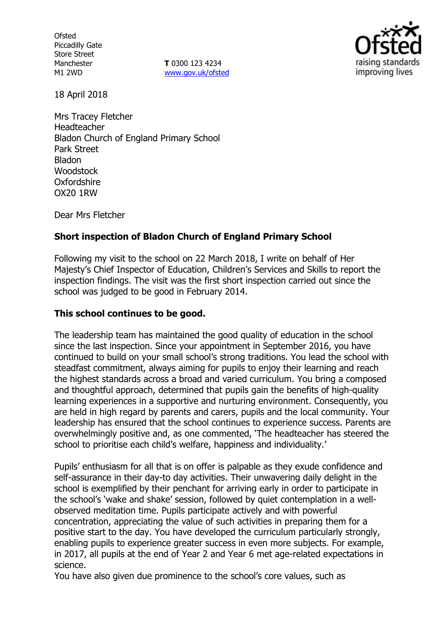**Ofsted** Piccadilly Gate Store Street Manchester M1 2WD

**T** 0300 123 4234 www.gov.uk/ofsted



18 April 2018

Mrs Tracey Fletcher Headteacher Bladon Church of England Primary School Park Street Bladon **Woodstock** Oxfordshire OX20 1RW

Dear Mrs Fletcher

# **Short inspection of Bladon Church of England Primary School**

Following my visit to the school on 22 March 2018, I write on behalf of Her Majesty's Chief Inspector of Education, Children's Services and Skills to report the inspection findings. The visit was the first short inspection carried out since the school was judged to be good in February 2014.

## **This school continues to be good.**

The leadership team has maintained the good quality of education in the school since the last inspection. Since your appointment in September 2016, you have continued to build on your small school's strong traditions. You lead the school with steadfast commitment, always aiming for pupils to enjoy their learning and reach the highest standards across a broad and varied curriculum. You bring a composed and thoughtful approach, determined that pupils gain the benefits of high-quality learning experiences in a supportive and nurturing environment. Consequently, you are held in high regard by parents and carers, pupils and the local community. Your leadership has ensured that the school continues to experience success. Parents are overwhelmingly positive and, as one commented, 'The headteacher has steered the school to prioritise each child's welfare, happiness and individuality.'

Pupils' enthusiasm for all that is on offer is palpable as they exude confidence and self-assurance in their day-to day activities. Their unwavering daily delight in the school is exemplified by their penchant for arriving early in order to participate in the school's 'wake and shake' session, followed by quiet contemplation in a wellobserved meditation time. Pupils participate actively and with powerful concentration, appreciating the value of such activities in preparing them for a positive start to the day. You have developed the curriculum particularly strongly, enabling pupils to experience greater success in even more subjects. For example, in 2017, all pupils at the end of Year 2 and Year 6 met age-related expectations in science.

You have also given due prominence to the school's core values, such as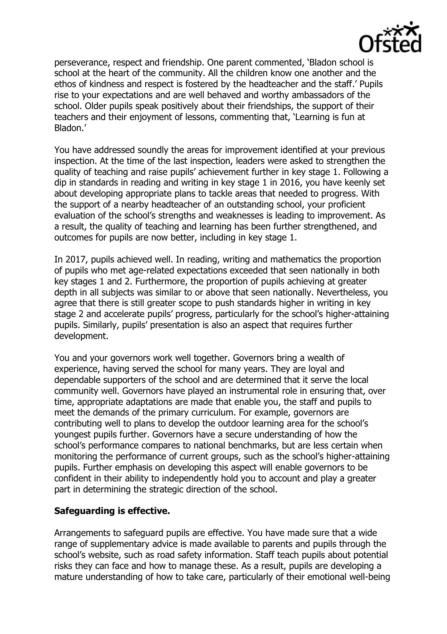

perseverance, respect and friendship. One parent commented, 'Bladon school is school at the heart of the community. All the children know one another and the ethos of kindness and respect is fostered by the headteacher and the staff.' Pupils rise to your expectations and are well behaved and worthy ambassadors of the school. Older pupils speak positively about their friendships, the support of their teachers and their enjoyment of lessons, commenting that, 'Learning is fun at Bladon.'

You have addressed soundly the areas for improvement identified at your previous inspection. At the time of the last inspection, leaders were asked to strengthen the quality of teaching and raise pupils' achievement further in key stage 1. Following a dip in standards in reading and writing in key stage 1 in 2016, you have keenly set about developing appropriate plans to tackle areas that needed to progress. With the support of a nearby headteacher of an outstanding school, your proficient evaluation of the school's strengths and weaknesses is leading to improvement. As a result, the quality of teaching and learning has been further strengthened, and outcomes for pupils are now better, including in key stage 1.

In 2017, pupils achieved well. In reading, writing and mathematics the proportion of pupils who met age-related expectations exceeded that seen nationally in both key stages 1 and 2. Furthermore, the proportion of pupils achieving at greater depth in all subjects was similar to or above that seen nationally. Nevertheless, you agree that there is still greater scope to push standards higher in writing in key stage 2 and accelerate pupils' progress, particularly for the school's higher-attaining pupils. Similarly, pupils' presentation is also an aspect that requires further development.

You and your governors work well together. Governors bring a wealth of experience, having served the school for many years. They are loyal and dependable supporters of the school and are determined that it serve the local community well. Governors have played an instrumental role in ensuring that, over time, appropriate adaptations are made that enable you, the staff and pupils to meet the demands of the primary curriculum. For example, governors are contributing well to plans to develop the outdoor learning area for the school's youngest pupils further. Governors have a secure understanding of how the school's performance compares to national benchmarks, but are less certain when monitoring the performance of current groups, such as the school's higher-attaining pupils. Further emphasis on developing this aspect will enable governors to be confident in their ability to independently hold you to account and play a greater part in determining the strategic direction of the school.

## **Safeguarding is effective.**

Arrangements to safeguard pupils are effective. You have made sure that a wide range of supplementary advice is made available to parents and pupils through the school's website, such as road safety information. Staff teach pupils about potential risks they can face and how to manage these. As a result, pupils are developing a mature understanding of how to take care, particularly of their emotional well-being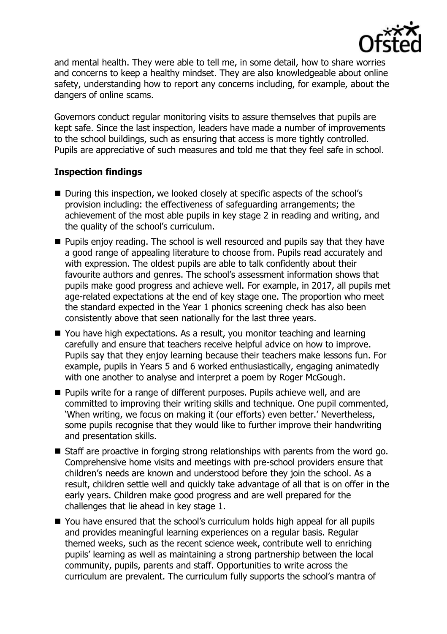

and mental health. They were able to tell me, in some detail, how to share worries and concerns to keep a healthy mindset. They are also knowledgeable about online safety, understanding how to report any concerns including, for example, about the dangers of online scams.

Governors conduct regular monitoring visits to assure themselves that pupils are kept safe. Since the last inspection, leaders have made a number of improvements to the school buildings, such as ensuring that access is more tightly controlled. Pupils are appreciative of such measures and told me that they feel safe in school.

## **Inspection findings**

- During this inspection, we looked closely at specific aspects of the school's provision including: the effectiveness of safeguarding arrangements; the achievement of the most able pupils in key stage 2 in reading and writing, and the quality of the school's curriculum.
- **Pupils enjoy reading. The school is well resourced and pupils say that they have** a good range of appealing literature to choose from. Pupils read accurately and with expression. The oldest pupils are able to talk confidently about their favourite authors and genres. The school's assessment information shows that pupils make good progress and achieve well. For example, in 2017, all pupils met age-related expectations at the end of key stage one. The proportion who meet the standard expected in the Year 1 phonics screening check has also been consistently above that seen nationally for the last three years.
- You have high expectations. As a result, you monitor teaching and learning carefully and ensure that teachers receive helpful advice on how to improve. Pupils say that they enjoy learning because their teachers make lessons fun. For example, pupils in Years 5 and 6 worked enthusiastically, engaging animatedly with one another to analyse and interpret a poem by Roger McGough.
- **Pupils write for a range of different purposes. Pupils achieve well, and are** committed to improving their writing skills and technique. One pupil commented, 'When writing, we focus on making it (our efforts) even better.' Nevertheless, some pupils recognise that they would like to further improve their handwriting and presentation skills.
- Staff are proactive in forging strong relationships with parents from the word go. Comprehensive home visits and meetings with pre-school providers ensure that children's needs are known and understood before they join the school. As a result, children settle well and quickly take advantage of all that is on offer in the early years. Children make good progress and are well prepared for the challenges that lie ahead in key stage 1.
- You have ensured that the school's curriculum holds high appeal for all pupils and provides meaningful learning experiences on a regular basis. Regular themed weeks, such as the recent science week, contribute well to enriching pupils' learning as well as maintaining a strong partnership between the local community, pupils, parents and staff. Opportunities to write across the curriculum are prevalent. The curriculum fully supports the school's mantra of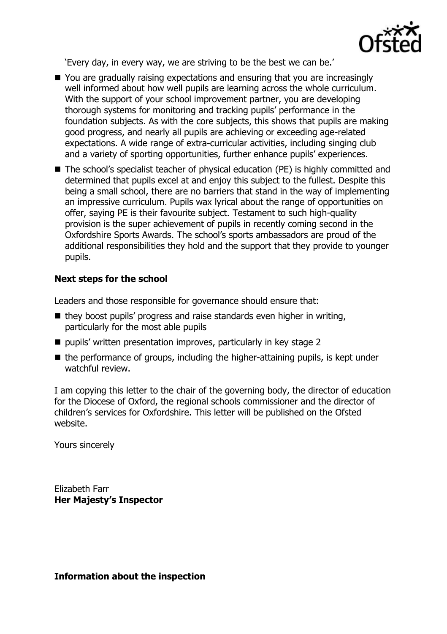

'Every day, in every way, we are striving to be the best we can be.'

- You are gradually raising expectations and ensuring that you are increasingly well informed about how well pupils are learning across the whole curriculum. With the support of your school improvement partner, you are developing thorough systems for monitoring and tracking pupils' performance in the foundation subjects. As with the core subjects, this shows that pupils are making good progress, and nearly all pupils are achieving or exceeding age-related expectations. A wide range of extra-curricular activities, including singing club and a variety of sporting opportunities, further enhance pupils' experiences.
- The school's specialist teacher of physical education (PE) is highly committed and determined that pupils excel at and enjoy this subject to the fullest. Despite this being a small school, there are no barriers that stand in the way of implementing an impressive curriculum. Pupils wax lyrical about the range of opportunities on offer, saying PE is their favourite subject. Testament to such high-quality provision is the super achievement of pupils in recently coming second in the Oxfordshire Sports Awards. The school's sports ambassadors are proud of the additional responsibilities they hold and the support that they provide to younger pupils.

# **Next steps for the school**

Leaders and those responsible for governance should ensure that:

- $\blacksquare$  they boost pupils' progress and raise standards even higher in writing, particularly for the most able pupils
- pupils' written presentation improves, particularly in key stage 2
- $\blacksquare$  the performance of groups, including the higher-attaining pupils, is kept under watchful review.

I am copying this letter to the chair of the governing body, the director of education for the Diocese of Oxford, the regional schools commissioner and the director of children's services for Oxfordshire. This letter will be published on the Ofsted website.

Yours sincerely

Elizabeth Farr **Her Majesty's Inspector**

**Information about the inspection**